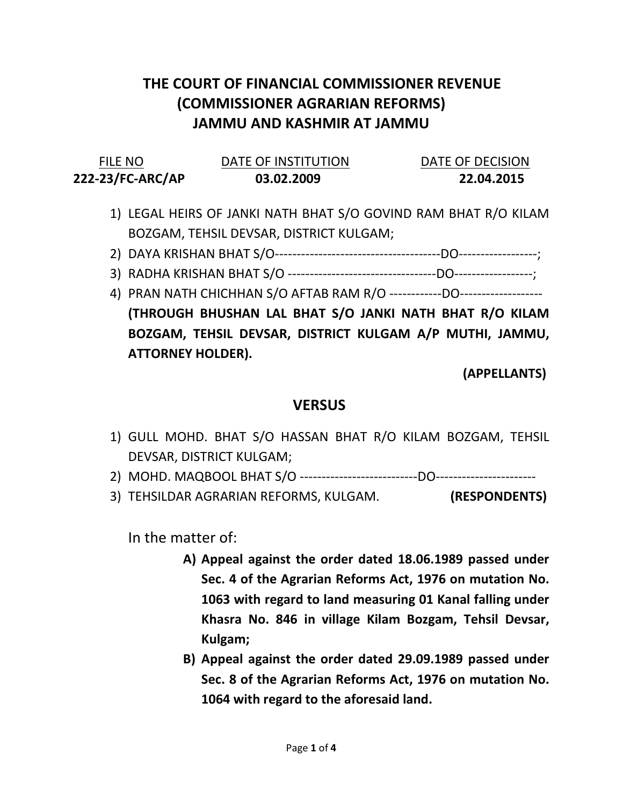## THE COURT OF FINANCIAL COMMISSIONER REVENUE (COMMISSIONER AGRARIAN REFORMS) JAMMU AND KASHMIR AT JAMMU

| <b>FILE NO</b>   | DATE OF INSTITUTION | DATE OF DECISION |
|------------------|---------------------|------------------|
| 222-23/FC-ARC/AP | 03.02.2009          | 22.04.2015       |

- 1) LEGAL HEIRS OF JANKI NATH BHAT S/O GOVIND RAM BHAT R/O KILAM BOZGAM, TEHSIL DEVSAR, DISTRICT KULGAM;
- 2) DAYA KRISHAN BHAT S/O--------------------------------------DO------------------;
- 3) RADHA KRISHAN BHAT S/O ----------------------------------DO------------------;
- 4) PRAN NATH CHICHHAN S/O AFTAB RAM R/O ------------DO------------------- (THROUGH BHUSHAN LAL BHAT S/O JANKI NATH BHAT R/O KILAM BOZGAM, TEHSIL DEVSAR, DISTRICT KULGAM A/P MUTHI, JAMMU, ATTORNEY HOLDER).

(APPELLANTS)

## **VERSUS**

- 1) GULL MOHD. BHAT S/O HASSAN BHAT R/O KILAM BOZGAM, TEHSIL DEVSAR, DISTRICT KULGAM;
- 2) MOHD. MAQBOOL BHAT S/O ---------------------------DO-----------------------
- 3) TEHSILDAR AGRARIAN REFORMS, KULGAM. (RESPONDENTS)

In the matter of:

- A) Appeal against the order dated 18.06.1989 passed under Sec. 4 of the Agrarian Reforms Act, 1976 on mutation No. 1063 with regard to land measuring 01 Kanal falling under Khasra No. 846 in village Kilam Bozgam, Tehsil Devsar, Kulgam;
- B) Appeal against the order dated 29.09.1989 passed under Sec. 8 of the Agrarian Reforms Act, 1976 on mutation No. 1064 with regard to the aforesaid land.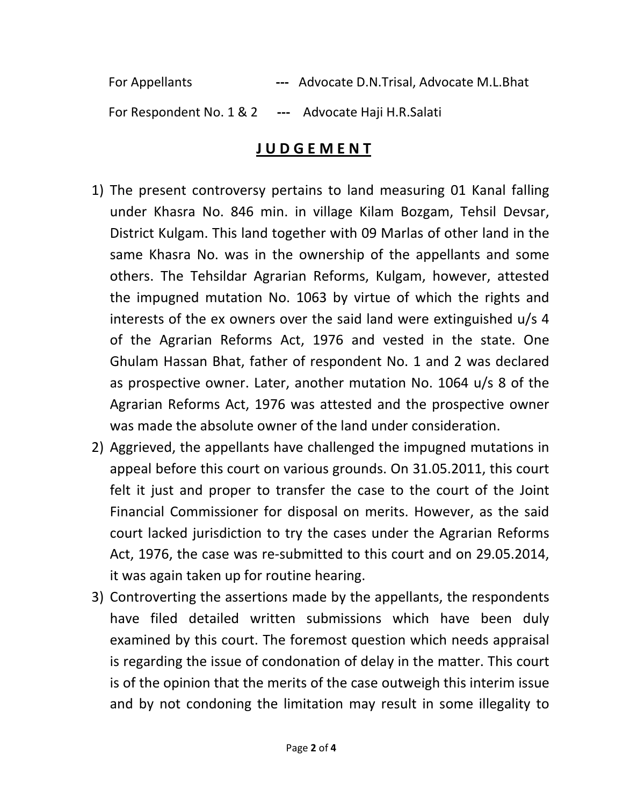For Appellants --- Advocate D.N.Trisal, Advocate M.L.Bhat For Respondent No. 1 & 2 --- Advocate Haji H.R.Salati

## J U D G E M E N T

- 1) The present controversy pertains to land measuring 01 Kanal falling under Khasra No. 846 min. in village Kilam Bozgam, Tehsil Devsar, District Kulgam. This land together with 09 Marlas of other land in the same Khasra No. was in the ownership of the appellants and some others. The Tehsildar Agrarian Reforms, Kulgam, however, attested the impugned mutation No. 1063 by virtue of which the rights and interests of the ex owners over the said land were extinguished u/s 4 of the Agrarian Reforms Act, 1976 and vested in the state. One Ghulam Hassan Bhat, father of respondent No. 1 and 2 was declared as prospective owner. Later, another mutation No. 1064 u/s 8 of the Agrarian Reforms Act, 1976 was attested and the prospective owner was made the absolute owner of the land under consideration.
- 2) Aggrieved, the appellants have challenged the impugned mutations in appeal before this court on various grounds. On 31.05.2011, this court felt it just and proper to transfer the case to the court of the Joint Financial Commissioner for disposal on merits. However, as the said court lacked jurisdiction to try the cases under the Agrarian Reforms Act, 1976, the case was re-submitted to this court and on 29.05.2014, it was again taken up for routine hearing.
- 3) Controverting the assertions made by the appellants, the respondents have filed detailed written submissions which have been duly examined by this court. The foremost question which needs appraisal is regarding the issue of condonation of delay in the matter. This court is of the opinion that the merits of the case outweigh this interim issue and by not condoning the limitation may result in some illegality to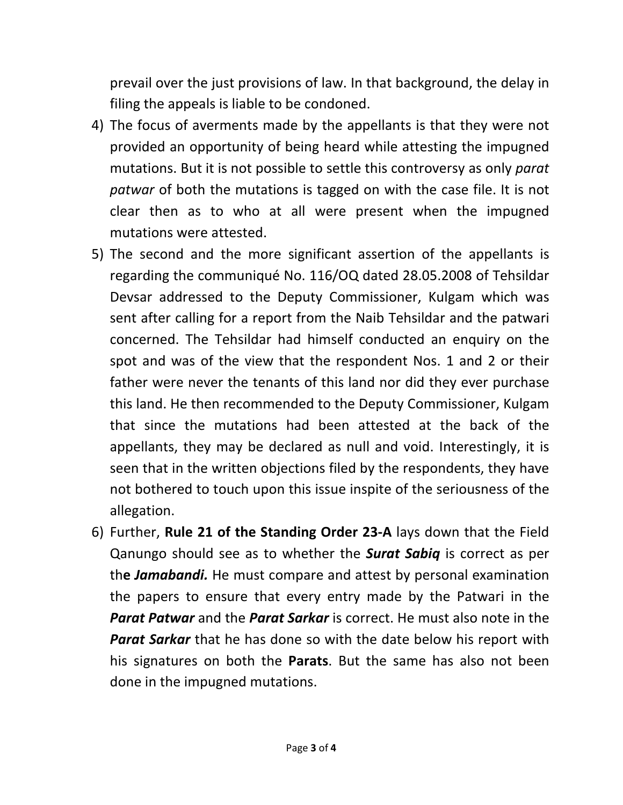prevail over the just provisions of law. In that background, the delay in filing the appeals is liable to be condoned.

- 4) The focus of averments made by the appellants is that they were not provided an opportunity of being heard while attesting the impugned mutations. But it is not possible to settle this controversy as only parat patwar of both the mutations is tagged on with the case file. It is not clear then as to who at all were present when the impugned mutations were attested.
- 5) The second and the more significant assertion of the appellants is regarding the communiqué No. 116/OQ dated 28.05.2008 of Tehsildar Devsar addressed to the Deputy Commissioner, Kulgam which was sent after calling for a report from the Naib Tehsildar and the patwari concerned. The Tehsildar had himself conducted an enquiry on the spot and was of the view that the respondent Nos. 1 and 2 or their father were never the tenants of this land nor did they ever purchase this land. He then recommended to the Deputy Commissioner, Kulgam that since the mutations had been attested at the back of the appellants, they may be declared as null and void. Interestingly, it is seen that in the written objections filed by the respondents, they have not bothered to touch upon this issue inspite of the seriousness of the allegation.
- 6) Further, Rule 21 of the Standing Order 23-A lays down that the Field Qanungo should see as to whether the **Surat Sabiq** is correct as per the **Jamabandi.** He must compare and attest by personal examination the papers to ensure that every entry made by the Patwari in the **Parat Patwar** and the **Parat Sarkar** is correct. He must also note in the **Parat Sarkar** that he has done so with the date below his report with his signatures on both the Parats. But the same has also not been done in the impugned mutations.